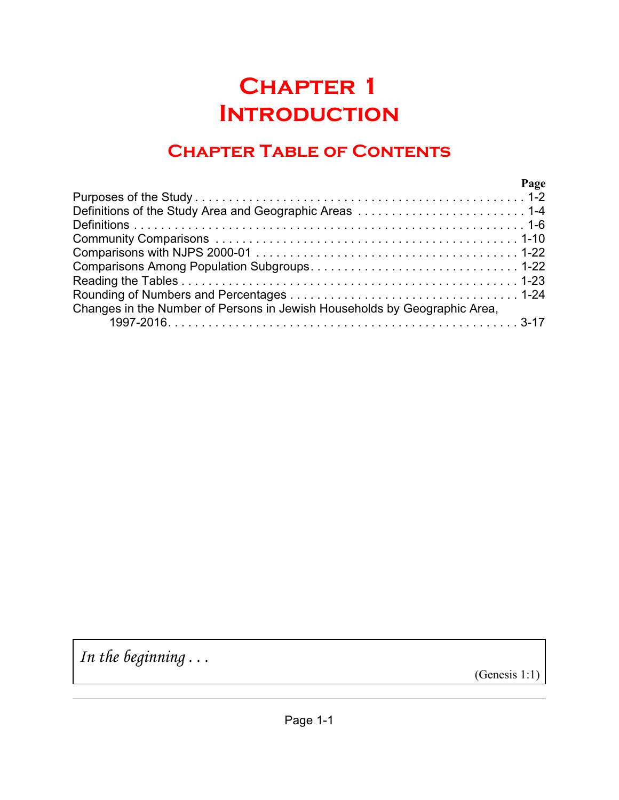# **Chapter 1 Introduction**

# **Chapter Table of Contents**

| Page                                                                      |  |
|---------------------------------------------------------------------------|--|
|                                                                           |  |
|                                                                           |  |
|                                                                           |  |
|                                                                           |  |
|                                                                           |  |
|                                                                           |  |
|                                                                           |  |
|                                                                           |  |
| Changes in the Number of Persons in Jewish Households by Geographic Area, |  |
|                                                                           |  |

*In the beginning . . .*

(Genesis 1:1)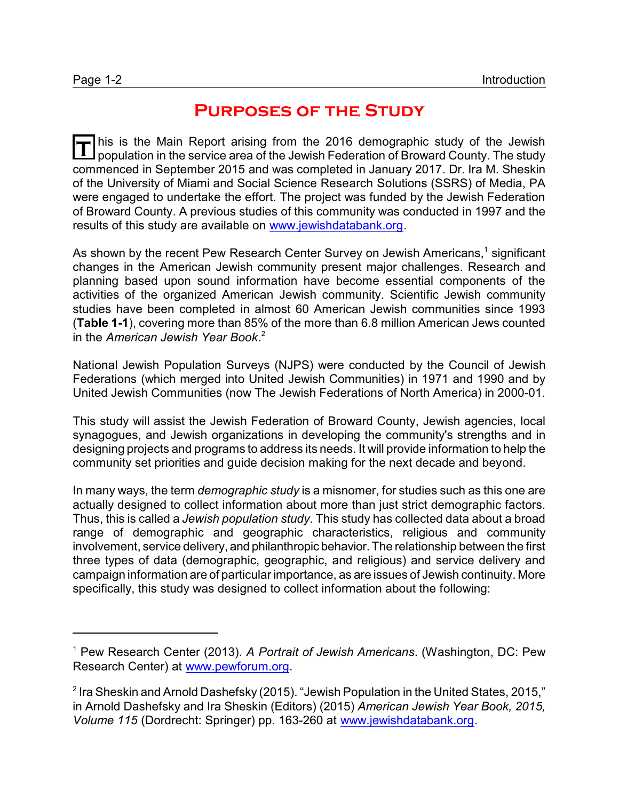# **Purposes of the Study**

**T** his is the Main Report arising from the 2016 demographic study of the Jewish population in the service area of the Jewish Federation of Broward County. The study commenced in September 2015 and was completed in January 2017. Dr. Ira M. Sheskin of the University of Miami and Social Science Research Solutions (SSRS) of Media, PA were engaged to undertake the effort. The project was funded by the Jewish Federation of Broward County. A previous studies of this community was conducted in 1997 and the results of this study are available on [www.jewishdatabank.org](http://www.jewishdatabank.org).

As shown by the recent Pew Research Center Survey on Jewish Americans, ${}^{1}$  significant changes in the American Jewish community present major challenges. Research and planning based upon sound information have become essential components of the activities of the organized American Jewish community. Scientific Jewish community studies have been completed in almost 60 American Jewish communities since 1993 (**Table 1-1**), covering more than 85% of the more than 6.8 million American Jews counted in the *American Jewish Year Book*. 2

National Jewish Population Surveys (NJPS) were conducted by the Council of Jewish Federations (which merged into United Jewish Communities) in 1971 and 1990 and by United Jewish Communities (now The Jewish Federations of North America) in 2000-01.

This study will assist the Jewish Federation of Broward County, Jewish agencies, local synagogues, and Jewish organizations in developing the community's strengths and in designing projects and programs to address its needs. It will provide information to help the community set priorities and guide decision making for the next decade and beyond.

In many ways, the term *demographic study* is a misnomer, for studies such as this one are actually designed to collect information about more than just strict demographic factors. Thus, this is called a *Jewish population study*. This study has collected data about a broad range of demographic and geographic characteristics, religious and community involvement, service delivery, and philanthropic behavior.The relationship between the first three types of data (demographic, geographic, and religious) and service delivery and campaign information are of particular importance, as are issues of Jewish continuity. More specifically, this study was designed to collect information about the following:

<sup>1</sup> Pew Research Center (2013). *A Portrait of Jewish Americans*. (Washington, DC: Pew Research Center) at [www.pewforum.org](http://www.pewforum.org).

 $^{\text{2}}$  Ira Sheskin and Arnold Dashefsky (2015). "Jewish Population in the United States, 2015," in Arnold Dashefsky and Ira Sheskin (Editors) (2015) *American Jewish Year Book, 2015, Volume 115* (Dordrecht: Springer) pp. 163-260 at [www.jewishdatabank.org](http://www.jewishdatabank.org).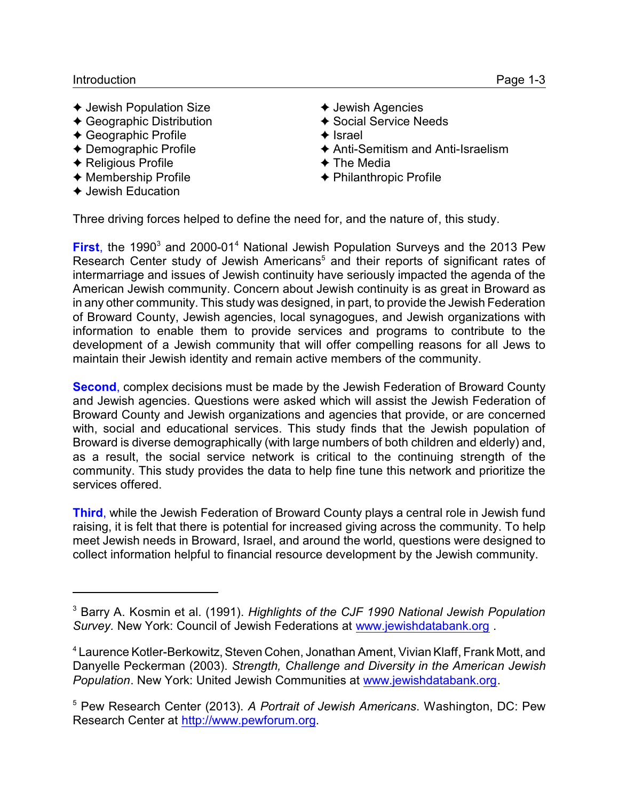- $\triangleleft$  Jewish Population Size
- $\triangleleft$  Geographic Distribution
- $\triangleleft$  Geographic Profile
- $\triangle$  Demographic Profile
- $\triangle$  Religious Profile
- $\triangleleft$  Membership Profile
- $\triangle$  Jewish Education
- $\triangleleft$  Jewish Agencies
- $\triangle$  Social Service Needs
- $\triangle$  Israel
- $\triangle$  Anti-Semitism and Anti-Israelism
- $\triangle$  The Media
- $\triangle$  Philanthropic Profile

Three driving forces helped to define the need for, and the nature of, this study.

First, the 1990<sup>3</sup> and 2000-01<sup>4</sup> National Jewish Population Surveys and the 2013 Pew Research Center study of Jewish Americans<sup>5</sup> and their reports of significant rates of intermarriage and issues of Jewish continuity have seriously impacted the agenda of the American Jewish community. Concern about Jewish continuity is as great in Broward as in any other community. This study was designed, in part, to provide the Jewish Federation of Broward County, Jewish agencies, local synagogues, and Jewish organizations with information to enable them to provide services and programs to contribute to the development of a Jewish community that will offer compelling reasons for all Jews to maintain their Jewish identity and remain active members of the community.

**Second**, complex decisions must be made by the Jewish Federation of Broward County and Jewish agencies. Questions were asked which will assist the Jewish Federation of Broward County and Jewish organizations and agencies that provide, or are concerned with, social and educational services. This study finds that the Jewish population of Broward is diverse demographically (with large numbers of both children and elderly) and, as a result, the social service network is critical to the continuing strength of the community. This study provides the data to help fine tune this network and prioritize the services offered.

**Third**, while the Jewish Federation of Broward County plays a central role in Jewish fund raising, it is felt that there is potential for increased giving across the community. To help meet Jewish needs in Broward, Israel, and around the world, questions were designed to collect information helpful to financial resource development by the Jewish community.

<sup>3</sup> Barry A. Kosmin et al. (1991). *Highlights of the CJF 1990 National Jewish Population Survey.* New York: Council of Jewish Federations at [www.jewishdatabank.org](http://www.jewishdatabank.org) .

<sup>4</sup> Laurence Kotler-Berkowitz, Steven Cohen, Jonathan Ament, Vivian Klaff, Frank Mott, and Danyelle Peckerman (2003). *Strength, Challenge and Diversity in the American Jewish Population*. New York: United Jewish Communities at [www.jewishdatabank.org](http://www.jewishdatabank.org).

<sup>5</sup> Pew Research Center (2013). *A Portrait of Jewish Americans*. Washington, DC: Pew Research Center at<http://www.pewforum.org>.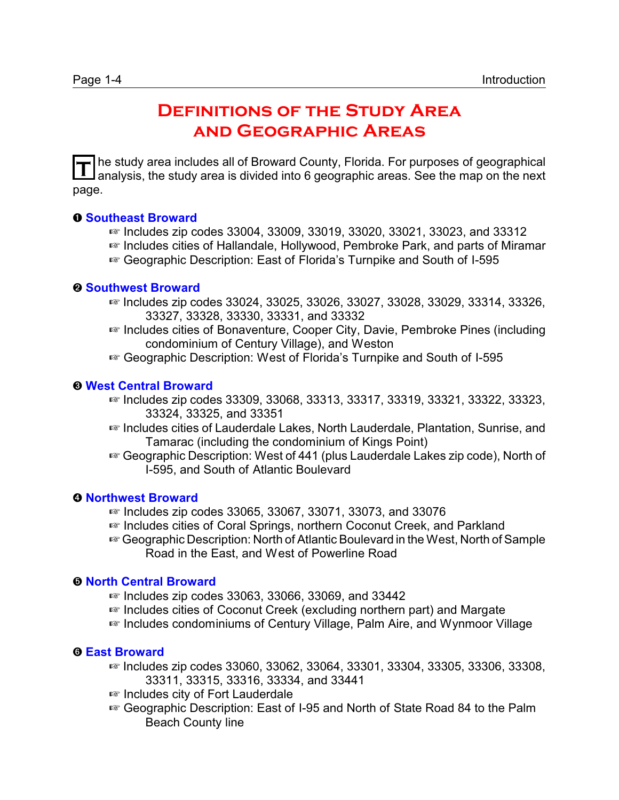# **Definitions of the Study Area and Geographic Areas**

T he study area includes all of Broward County, Florida. For purposes of geographical<br>
analysis, the study area is divided into 6 geographic areas. See the man on the next analysis, the study area is divided into 6 geographic areas. See the map on the next page.

## **O** Southeast Broward

- $\approx$  Includes zip codes 33004, 33009, 33019, 33020, 33021, 33023, and 33312
- $E$  Includes cities of Hallandale, Hollywood, Pembroke Park, and parts of Miramar
- <sup>1</sup> Geographic Description: East of Florida's Turnpike and South of I-595

### *<u>O* Southwest Broward</u>

- <sup>1</sup> Includes zip codes 33024, 33025, 33026, 33027, 33028, 33029, 33314, 33326, 33327, 33328, 33330, 33331, and 33332
- **E** Includes cities of Bonaventure, Cooper City, Davie, Pembroke Pines (including condominium of Century Village), and Weston
- a Geographic Description: West of Florida's Turnpike and South of I-595

## **8 West Central Broward**

- <sup>1</sup> Includes zip codes 33309, 33068, 33313, 33317, 33319, 33321, 33322, 33323, I 33324, 33325, and 33351
- <sup>1</sup> Includes cities of Lauderdale Lakes, North Lauderdale, Plantation, Sunrise, and Tamarac (including the condominium of Kings Point)
- **E** Geographic Description: West of 441 (plus Lauderdale Lakes zip code), North of I-595, and South of Atlantic Boulevard

### **<sup>O</sup> Northwest Broward**

- $\approx$  Includes zip codes 33065, 33067, 33071, 33073, and 33076
- **E** Includes cities of Coral Springs, northern Coconut Creek, and Parkland
- **E** Geographic Description: North of Atlantic Boulevard in the West, North of Sample Road in the East, and West of Powerline Road

### ð **North Central Broward**

- $\sqrt{w}$  Includes zip codes 33063, 33066, 33069, and 33442
- **E** Includes cities of Coconut Creek (excluding northern part) and Margate
- <sup>1</sup> Includes condominiums of Century Village, Palm Aire, and Wynmoor Village

# $Q$  **East Broward**

- $\approx$  Includes zip codes 33060, 33062, 33064, 33301, 33304, 33305, 33306, 33308, 33311, 33315, 33316, 33334, and 33441
- <sup>■</sup> Includes city of Fort Lauderdale
- $E$  Geographic Description: East of I-95 and North of State Road 84 to the Palm Beach County line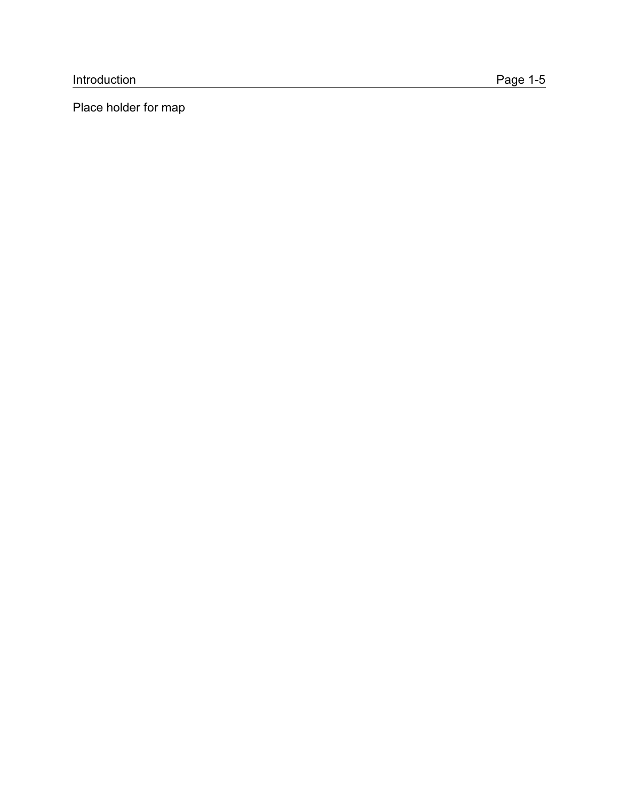Place holder for map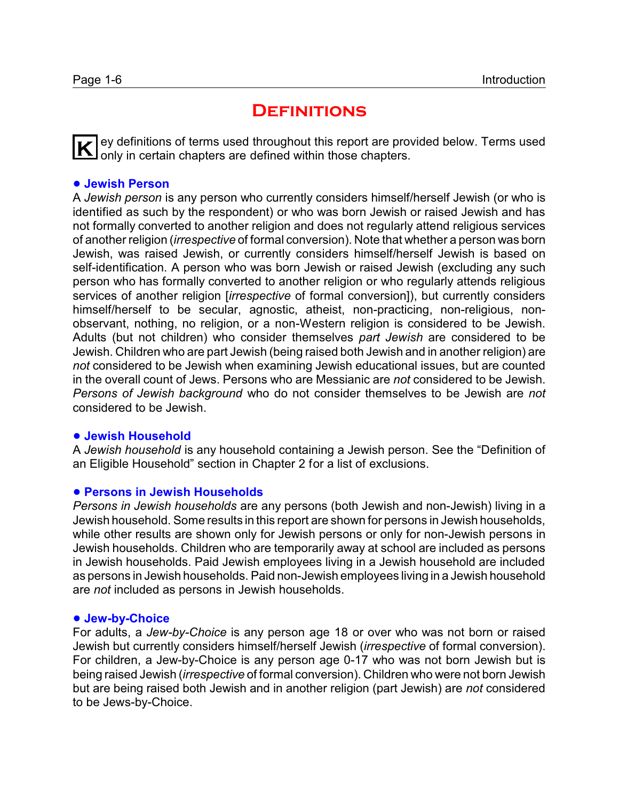# **DEFINITIONS**

**K** ey definitions of terms used throughout this report are provided below. Terms used only in certain chapters are defined within those chapters.

## ! **Jewish Person**

A *Jewish person* is any person who currently considers himself/herself Jewish (or who is identified as such by the respondent) or who was born Jewish or raised Jewish and has not formally converted to another religion and does not regularly attend religious services of another religion (*irrespective* of formal conversion). Note that whether a person was born Jewish, was raised Jewish, or currently considers himself/herself Jewish is based on self-identification. A person who was born Jewish or raised Jewish (excluding any such person who has formally converted to another religion or who regularly attends religious services of another religion [*irrespective* of formal conversion]), but currently considers himself/herself to be secular, agnostic, atheist, non-practicing, non-religious, nonobservant, nothing, no religion, or a non-Western religion is considered to be Jewish. Adults (but not children) who consider themselves *part Jewish* are considered to be Jewish. Children who are part Jewish (being raised both Jewish and in another religion) are *not* considered to be Jewish when examining Jewish educational issues, but are counted in the overall count of Jews. Persons who are Messianic are *not* considered to be Jewish. *Persons of Jewish background* who do not consider themselves to be Jewish are *not* considered to be Jewish.

# ! **Jewish Household**

A *Jewish household* is any household containing a Jewish person. See the "Definition of an Eligible Household" section in Chapter 2 for a list of exclusions.

### ! **Persons in Jewish Households**

*Persons in Jewish households* are any persons (both Jewish and non-Jewish) living in a Jewish household. Some results in this report are shown for persons in Jewish households, while other results are shown only for Jewish persons or only for non-Jewish persons in Jewish households. Children who are temporarily away at school are included as persons in Jewish households. Paid Jewish employees living in a Jewish household are included as persons in Jewish households. Paid non-Jewish employees living in a Jewish household are *not* included as persons in Jewish households.

### ● Jew-by-Choice

For adults, a *Jew-by-Choice* is any person age 18 or over who was not born or raised Jewish but currently considers himself/herself Jewish (*irrespective* of formal conversion). For children, a Jew-by-Choice is any person age 0-17 who was not born Jewish but is being raised Jewish (*irrespective* of formal conversion). Children who were not born Jewish but are being raised both Jewish and in another religion (part Jewish) are *not* considered to be Jews-by-Choice.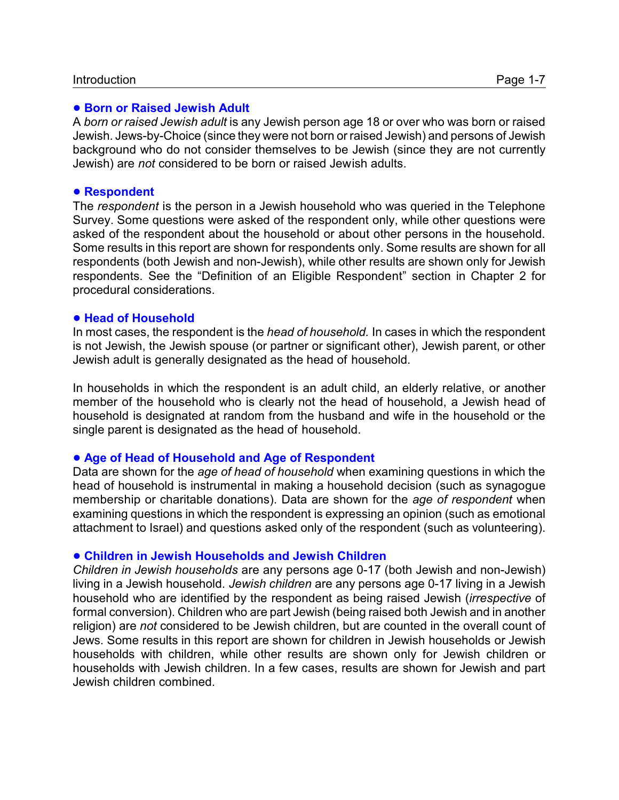### **. Born or Raised Jewish Adult**

A *born or raised Jewish adult* is any Jewish person age 18 or over who was born or raised Jewish. Jews-by-Choice (since they were not born or raised Jewish) and persons of Jewish background who do not consider themselves to be Jewish (since they are not currently Jewish) are *not* considered to be born or raised Jewish adults.

#### **• Respondent**

The *respondent* is the person in a Jewish household who was queried in the Telephone Survey. Some questions were asked of the respondent only, while other questions were asked of the respondent about the household or about other persons in the household. Some results in this report are shown for respondents only. Some results are shown for all respondents (both Jewish and non-Jewish), while other results are shown only for Jewish respondents. See the "Definition of an Eligible Respondent" section in Chapter 2 for procedural considerations.

#### ! **Head of Household**

In most cases, the respondent is the *head of household.* In cases in which the respondent is not Jewish, the Jewish spouse (or partner or significant other), Jewish parent, or other Jewish adult is generally designated as the head of household.

In households in which the respondent is an adult child, an elderly relative, or another member of the household who is clearly not the head of household, a Jewish head of household is designated at random from the husband and wife in the household or the single parent is designated as the head of household.

### ! **Age of Head of Household and Age of Respondent**

Data are shown for the *age of head of household* when examining questions in which the head of household is instrumental in making a household decision (such as synagogue membership or charitable donations). Data are shown for the *age of respondent* when examining questions in which the respondent is expressing an opinion (such as emotional attachment to Israel) and questions asked only of the respondent (such as volunteering).

#### ! **Children in Jewish Households and Jewish Children**

*Children in Jewish households* are any persons age 0-17 (both Jewish and non-Jewish) living in a Jewish household. *Jewish children* are any persons age 0-17 living in a Jewish household who are identified by the respondent as being raised Jewish (*irrespective* of formal conversion). Children who are part Jewish (being raised both Jewish and in another religion) are *not* considered to be Jewish children, but are counted in the overall count of Jews. Some results in this report are shown for children in Jewish households or Jewish households with children, while other results are shown only for Jewish children or households with Jewish children. In a few cases, results are shown for Jewish and part Jewish children combined.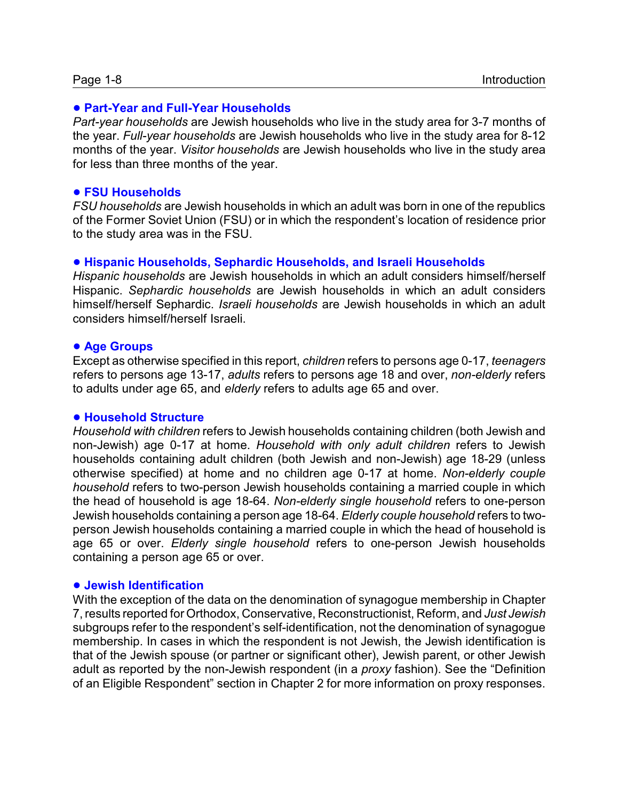#### ! **Part-Year and Full-Year Households**

*Part-year households* are Jewish households who live in the study area for 3-7 months of the year. *Full-year households* are Jewish households who live in the study area for 8-12 months of the year. *Visitor households* are Jewish households who live in the study area for less than three months of the year.

#### ! **FSU Households**

*FSU households* are Jewish households in which an adult was born in one of the republics of the Former Soviet Union (FSU) or in which the respondent's location of residence prior to the study area was in the FSU.

#### ! **Hispanic Households, Sephardic Households, and Israeli Households**

*Hispanic households* are Jewish households in which an adult considers himself/herself Hispanic. *Sephardic households* are Jewish households in which an adult considers himself/herself Sephardic. *Israeli households* are Jewish households in which an adult considers himself/herself Israeli.

#### ! **Age Groups**

Except as otherwise specified in this report, *children* refers to persons age 0-17, *teenagers* refers to persons age 13-17, *adults* refers to persons age 18 and over, *non-elderly* refers to adults under age 65, and *elderly* refers to adults age 65 and over.

#### ! **Household Structure**

*Household with children* refers to Jewish households containing children (both Jewish and non-Jewish) age 0-17 at home. *Household with only adult children* refers to Jewish households containing adult children (both Jewish and non-Jewish) age 18-29 (unless otherwise specified) at home and no children age 0-17 at home. *Non-elderly couple household* refers to two-person Jewish households containing a married couple in which the head of household is age 18-64. *Non-elderly single household* refers to one-person Jewish households containing a person age 18-64. *Elderly couple household* refers to twoperson Jewish households containing a married couple in which the head of household is age 65 or over. *Elderly single household* refers to one-person Jewish households containing a person age 65 or over.

#### ! **Jewish Identification**

With the exception of the data on the denomination of synagogue membership in Chapter 7, results reported for Orthodox, Conservative, Reconstructionist, Reform, and *Just Jewish* subgroups refer to the respondent's self-identification, not the denomination of synagogue membership. In cases in which the respondent is not Jewish, the Jewish identification is that of the Jewish spouse (or partner or significant other), Jewish parent, or other Jewish adult as reported by the non-Jewish respondent (in a *proxy* fashion). See the "Definition of an Eligible Respondent" section in Chapter 2 for more information on proxy responses.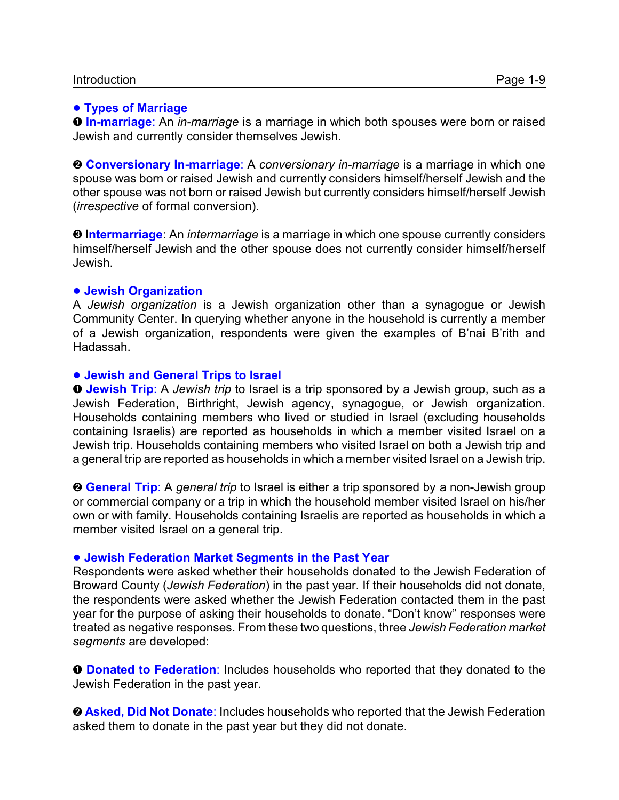#### ! **Types of Marriage**

**O In-marriage**: An *in-marriage* is a marriage in which both spouses were born or raised Jewish and currently consider themselves Jewish.

**<sup>2</sup> Conversionary In-marriage**: A *conversionary in-marriage* is a marriage in which one spouse was born or raised Jewish and currently considers himself/herself Jewish and the other spouse was not born or raised Jewish but currently considers himself/herself Jewish (*irrespective* of formal conversion).

**<sup>0</sup> Intermarriage**: An *intermarriage* is a marriage in which one spouse currently considers himself/herself Jewish and the other spouse does not currently consider himself/herself Jewish.

#### ! **Jewish Organization**

A *Jewish organization* is a Jewish organization other than a synagogue or Jewish Community Center. In querying whether anyone in the household is currently a member of a Jewish organization, respondents were given the examples of B'nai B'rith and Hadassah.

#### ! **Jewish and General Trips to Israel**

**O Jewish Trip**: A *Jewish trip* to Israel is a trip sponsored by a Jewish group, such as a Jewish Federation, Birthright, Jewish agency, synagogue, or Jewish organization. Households containing members who lived or studied in Israel (excluding households containing Israelis) are reported as households in which a member visited Israel on a Jewish trip. Households containing members who visited Israel on both a Jewish trip and a general trip are reported as households in which a member visited Israel on a Jewish trip.

**<sup>9</sup> General Trip**: A *general trip* to Israel is either a trip sponsored by a non-Jewish group or commercial company or a trip in which the household member visited Israel on his/her own or with family. Households containing Israelis are reported as households in which a member visited Israel on a general trip.

#### ! **Jewish Federation Market Segments in the Past Year**

Respondents were asked whether their households donated to the Jewish Federation of Broward County (*Jewish Federation*) in the past year. If their households did not donate, the respondents were asked whether the Jewish Federation contacted them in the past year for the purpose of asking their households to donate. "Don't know" responses were treated as negative responses. From these two questions, three *Jewish Federation market segments* are developed:

**O** Donated to Federation: Includes households who reported that they donated to the Jewish Federation in the past year.

**<sup>O</sup> Asked, Did Not Donate**: Includes households who reported that the Jewish Federation asked them to donate in the past year but they did not donate.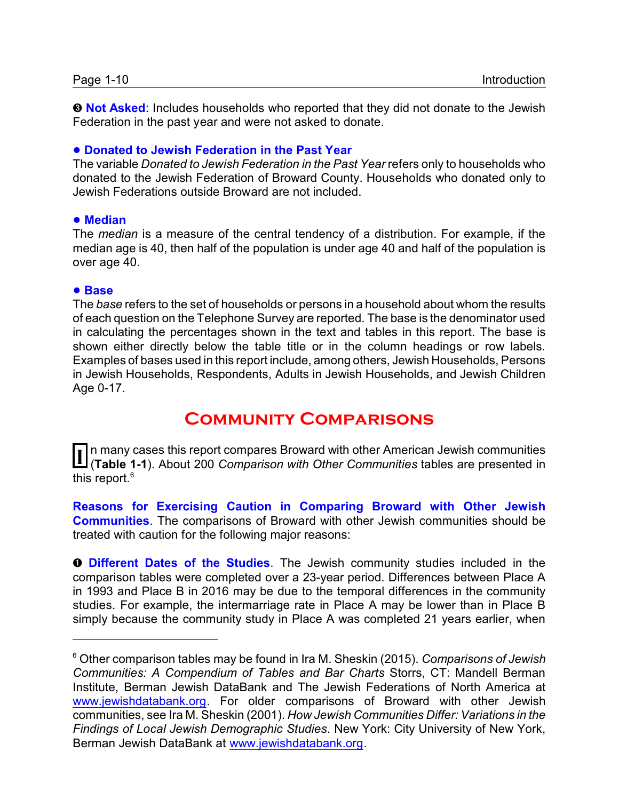**<sup>O</sup> Not Asked**: Includes households who reported that they did not donate to the Jewish Federation in the past year and were not asked to donate.

# ! **Donated to Jewish Federation in the Past Year**

The variable *Donated to Jewish Federation in the Past Year* refers only to households who donated to the Jewish Federation of Broward County. Households who donated only to Jewish Federations outside Broward are not included.

# ! **Median**

The *median* is a measure of the central tendency of a distribution. For example, if the median age is 40, then half of the population is under age 40 and half of the population is over age 40.

## ! **Base**

The *base* refers to the set of households or persons in a household about whom the results of each question on the Telephone Survey are reported. The base is the denominator used in calculating the percentages shown in the text and tables in this report. The base is shown either directly below the table title or in the column headings or row labels. Examples of bases used in this report include, among others, Jewish Households, Persons in Jewish Households, Respondents, Adults in Jewish Households, and Jewish Children Age 0-17.

# **Community Comparisons**

**I** n many cases this report compares Broward with other American Jewish communities<br>(Table 1.1), About 200 Comparison with Other Communities tables are presented in (**Table 1-1**). About 200 *Comparison with Other Communities* tables are presented in this report.<sup>6</sup>

**Reasons for Exercising Caution in Comparing Broward with Other Jewish Communities**. The comparisons of Broward with other Jewish communities should be treated with caution for the following major reasons:

**O Different Dates of the Studies**. The Jewish community studies included in the comparison tables were completed over a 23-year period. Differences between Place A in 1993 and Place B in 2016 may be due to the temporal differences in the community studies. For example, the intermarriage rate in Place A may be lower than in Place B simply because the community study in Place A was completed 21 years earlier, when

<sup>6</sup> Other comparison tables may be found in Ira M. Sheskin (2015). *Comparisons of Jewish Communities: A Compendium of Tables and Bar Charts* Storrs, CT: Mandell Berman Institute, Berman Jewish DataBank and The Jewish Federations of North America at [www.jewishdatabank.org](http://www.jewishdatabank.org). For older comparisons of Broward with other Jewish communities, see Ira M. Sheskin (2001). *How Jewish Communities Differ: Variations in the Findings of Local Jewish Demographic Studies*. New York: City University of New York, Berman Jewish DataBank at [www.jewishdatabank.org](http://www.jewishdatabank.org).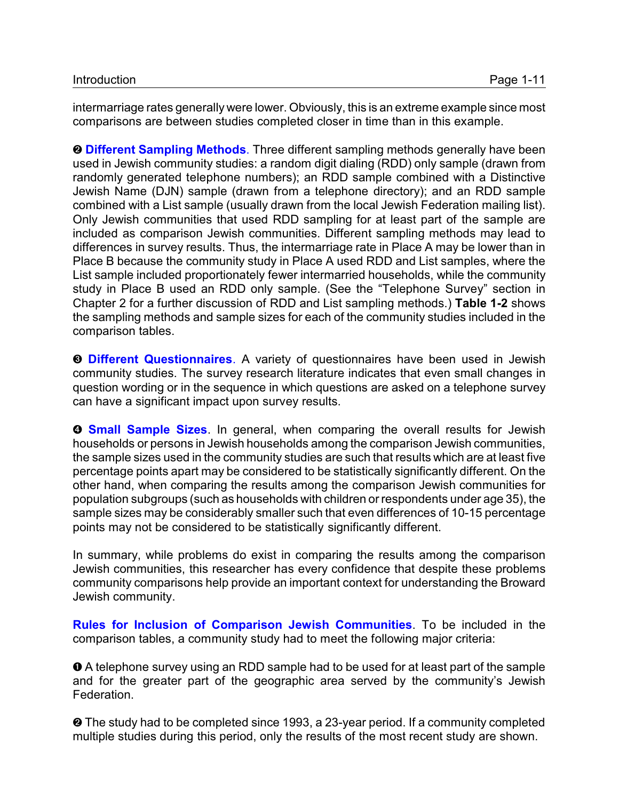intermarriage rates generally were lower. Obviously, this is an extreme example since most comparisons are between studies completed closer in time than in this example.

**<sup>O</sup> Different Sampling Methods**. Three different sampling methods generally have been used in Jewish community studies: a random digit dialing (RDD) only sample (drawn from randomly generated telephone numbers); an RDD sample combined with a Distinctive Jewish Name (DJN) sample (drawn from a telephone directory); and an RDD sample combined with a List sample (usually drawn from the local Jewish Federation mailing list). Only Jewish communities that used RDD sampling for at least part of the sample are included as comparison Jewish communities. Different sampling methods may lead to differences in survey results. Thus, the intermarriage rate in Place A may be lower than in Place B because the community study in Place A used RDD and List samples, where the List sample included proportionately fewer intermarried households, while the community study in Place B used an RDD only sample. (See the "Telephone Survey" section in Chapter 2 for a further discussion of RDD and List sampling methods.) **Table 1-2** shows the sampling methods and sample sizes for each of the community studies included in the comparison tables.

**<sup>6</sup> Different Questionnaires**. A variety of questionnaires have been used in Jewish community studies. The survey research literature indicates that even small changes in question wording or in the sequence in which questions are asked on a telephone survey can have a significant impact upon survey results.

**<sup>O</sup> Small Sample Sizes**. In general, when comparing the overall results for Jewish households or persons in Jewish households among the comparison Jewish communities, the sample sizes used in the community studies are such that results which are at least five percentage points apart may be considered to be statistically significantly different. On the other hand, when comparing the results among the comparison Jewish communities for population subgroups (such as households with children or respondents under age 35), the sample sizes may be considerably smaller such that even differences of 10-15 percentage points may not be considered to be statistically significantly different.

In summary, while problems do exist in comparing the results among the comparison Jewish communities, this researcher has every confidence that despite these problems community comparisons help provide an important context for understanding the Broward Jewish community.

**Rules for Inclusion of Comparison Jewish Communities**. To be included in the comparison tables, a community study had to meet the following major criteria:

 $\bullet$  A telephone survey using an RDD sample had to be used for at least part of the sample and for the greater part of the geographic area served by the community's Jewish Federation.

 $\odot$  The study had to be completed since 1993, a 23-year period. If a community completed multiple studies during this period, only the results of the most recent study are shown.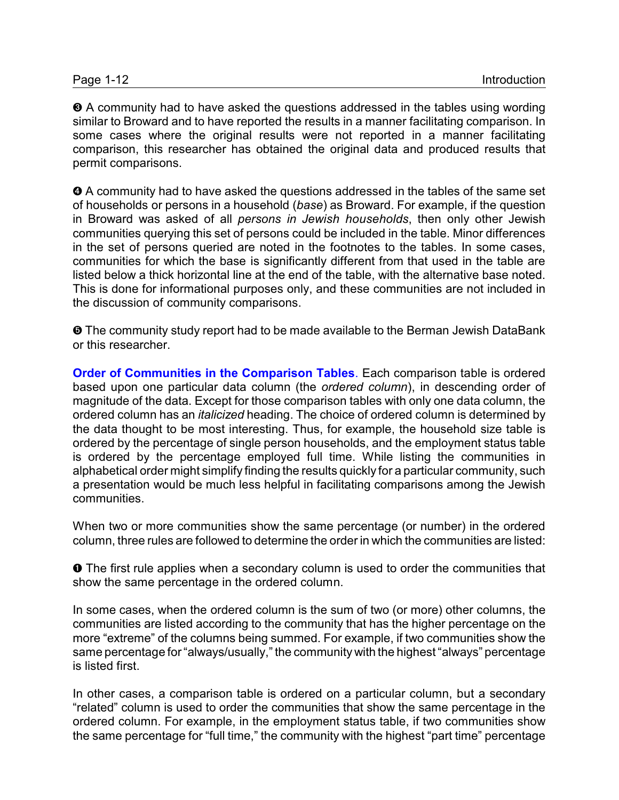$\Theta$  A community had to have asked the questions addressed in the tables using wording similar to Broward and to have reported the results in a manner facilitating comparison. In some cases where the original results were not reported in a manner facilitating comparison, this researcher has obtained the original data and produced results that permit comparisons.

 $\bullet$  A community had to have asked the questions addressed in the tables of the same set of households or persons in a household (*base*) as Broward. For example, if the question in Broward was asked of all *persons in Jewish households*, then only other Jewish communities querying this set of persons could be included in the table. Minor differences in the set of persons queried are noted in the footnotes to the tables. In some cases, communities for which the base is significantly different from that used in the table are listed below a thick horizontal line at the end of the table, with the alternative base noted. This is done for informational purposes only, and these communities are not included in the discussion of community comparisons.

ð The community study report had to be made available to the Berman Jewish DataBank or this researcher.

**Order of Communities in the Comparison Tables**. Each comparison table is ordered based upon one particular data column (the *ordered column*), in descending order of magnitude of the data. Except for those comparison tables with only one data column, the ordered column has an *italicized* heading. The choice of ordered column is determined by the data thought to be most interesting. Thus, for example, the household size table is ordered by the percentage of single person households, and the employment status table is ordered by the percentage employed full time. While listing the communities in alphabetical order might simplify finding the results quickly for a particular community, such a presentation would be much less helpful in facilitating comparisons among the Jewish communities.

When two or more communities show the same percentage (or number) in the ordered column, three rules are followed to determine the order in which the communities are listed:

**O** The first rule applies when a secondary column is used to order the communities that show the same percentage in the ordered column.

In some cases, when the ordered column is the sum of two (or more) other columns, the communities are listed according to the community that has the higher percentage on the more "extreme" of the columns being summed. For example, if two communities show the same percentage for "always/usually," the community with the highest "always" percentage is listed first.

In other cases, a comparison table is ordered on a particular column, but a secondary "related" column is used to order the communities that show the same percentage in the ordered column. For example, in the employment status table, if two communities show the same percentage for "full time," the community with the highest "part time" percentage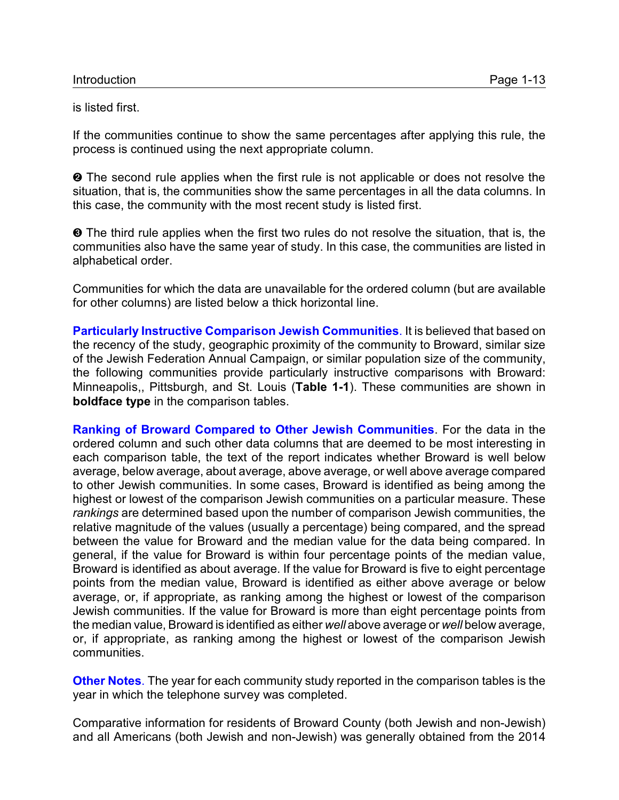is listed first.

If the communities continue to show the same percentages after applying this rule, the process is continued using the next appropriate column.

 $\odot$  The second rule applies when the first rule is not applicable or does not resolve the situation, that is, the communities show the same percentages in all the data columns. In this case, the community with the most recent study is listed first.

 $\odot$  The third rule applies when the first two rules do not resolve the situation, that is, the communities also have the same year of study. In this case, the communities are listed in alphabetical order.

Communities for which the data are unavailable for the ordered column (but are available for other columns) are listed below a thick horizontal line.

**Particularly Instructive Comparison Jewish Communities**. It is believed that based on the recency of the study, geographic proximity of the community to Broward, similar size of the Jewish Federation Annual Campaign, or similar population size of the community, the following communities provide particularly instructive comparisons with Broward: Minneapolis,, Pittsburgh, and St. Louis (**Table 1-1**). These communities are shown in **boldface type** in the comparison tables.

**Ranking of Broward Compared to Other Jewish Communities**. For the data in the ordered column and such other data columns that are deemed to be most interesting in each comparison table, the text of the report indicates whether Broward is well below average, below average, about average, above average, or well above average compared to other Jewish communities. In some cases, Broward is identified as being among the highest or lowest of the comparison Jewish communities on a particular measure. These *rankings* are determined based upon the number of comparison Jewish communities, the relative magnitude of the values (usually a percentage) being compared, and the spread between the value for Broward and the median value for the data being compared. In general, if the value for Broward is within four percentage points of the median value, Broward is identified as about average. If the value for Broward is five to eight percentage points from the median value, Broward is identified as either above average or below average, or, if appropriate, as ranking among the highest or lowest of the comparison Jewish communities. If the value for Broward is more than eight percentage points from the median value, Broward is identified as either *well* above average or *well* below average, or, if appropriate, as ranking among the highest or lowest of the comparison Jewish communities.

**Other Notes**. The year for each community study reported in the comparison tables is the year in which the telephone survey was completed.

Comparative information for residents of Broward County (both Jewish and non-Jewish) and all Americans (both Jewish and non-Jewish) was generally obtained from the 2014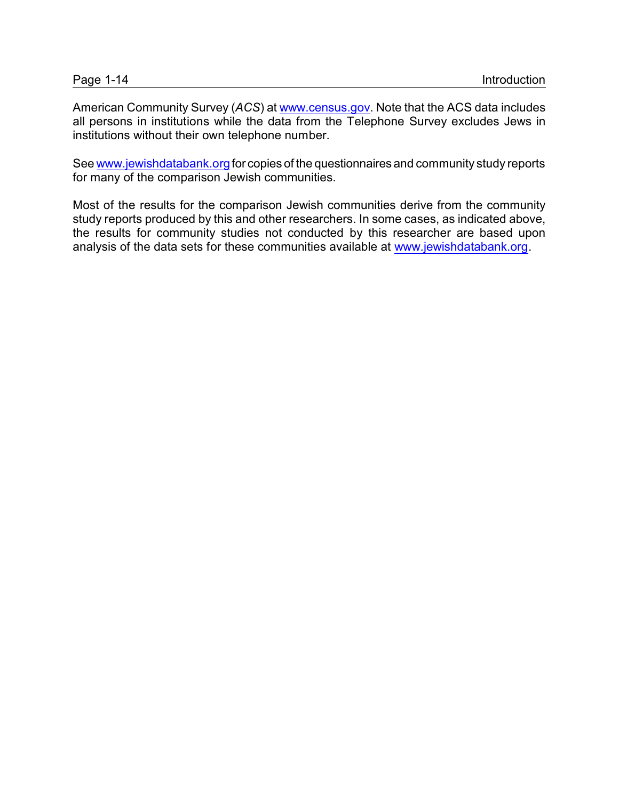American Community Survey (*ACS*) at [www.census.gov](http://www.census.gov). Note that the ACS data includes all persons in institutions while the data from the Telephone Survey excludes Jews in institutions without their own telephone number.

See [www.jewishdatabank.org](http://www.jewishdatabank.org) for copies of the questionnaires and community study reports for many of the comparison Jewish communities.

Most of the results for the comparison Jewish communities derive from the community study reports produced by this and other researchers. In some cases, as indicated above, the results for community studies not conducted by this researcher are based upon analysis of the data sets for these communities available at [www.jewishdatabank.org](http://www.jewishdatabank.org).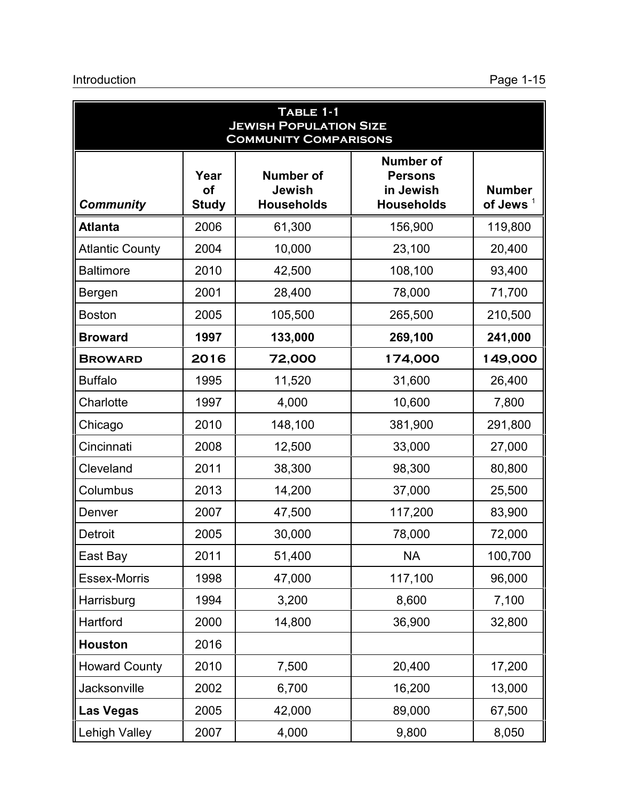| TABLE 1-1<br><b>JEWISH POPULATION SIZE</b><br><b>COMMUNITY COMPARISONS</b> |                                   |                                                        |                                                                      |                                              |  |  |
|----------------------------------------------------------------------------|-----------------------------------|--------------------------------------------------------|----------------------------------------------------------------------|----------------------------------------------|--|--|
| <b>Community</b>                                                           | Year<br><b>of</b><br><b>Study</b> | <b>Number of</b><br><b>Jewish</b><br><b>Households</b> | <b>Number of</b><br><b>Persons</b><br>in Jewish<br><b>Households</b> | <b>Number</b><br>of Jews $^\mathrm{\dagger}$ |  |  |
| <b>Atlanta</b>                                                             | 2006                              | 61,300                                                 | 156,900                                                              | 119,800                                      |  |  |
| <b>Atlantic County</b>                                                     | 2004                              | 10,000                                                 | 23,100                                                               | 20,400                                       |  |  |
| <b>Baltimore</b>                                                           | 2010                              | 42,500                                                 | 108,100                                                              | 93,400                                       |  |  |
| <b>Bergen</b>                                                              | 2001                              | 28,400                                                 | 78,000                                                               | 71,700                                       |  |  |
| <b>Boston</b>                                                              | 2005                              | 105,500                                                | 265,500                                                              | 210,500                                      |  |  |
| <b>Broward</b>                                                             | 1997                              | 133,000                                                | 269,100                                                              | 241,000                                      |  |  |
| <b>BROWARD</b>                                                             | 2016                              | 72,000                                                 | 174,000                                                              | 149,000                                      |  |  |
| <b>Buffalo</b>                                                             | 1995                              | 11,520                                                 | 31,600                                                               | 26,400                                       |  |  |
| Charlotte                                                                  | 1997                              | 4,000                                                  | 10,600                                                               | 7,800                                        |  |  |
| Chicago                                                                    | 2010                              | 148,100                                                | 381,900                                                              | 291,800                                      |  |  |
| Cincinnati                                                                 | 2008                              | 12,500                                                 | 33,000                                                               | 27,000                                       |  |  |
| Cleveland                                                                  | 2011                              | 38,300                                                 | 98,300                                                               | 80,800                                       |  |  |
| Columbus                                                                   | 2013                              | 14,200                                                 | 37,000                                                               | 25,500                                       |  |  |
| Denver                                                                     | 2007                              | 47,500                                                 | 117,200                                                              | 83,900                                       |  |  |
| <b>Detroit</b>                                                             | 2005                              | 30,000                                                 | 78,000                                                               | 72,000                                       |  |  |
| East Bay                                                                   | 2011                              | 51,400                                                 | <b>NA</b>                                                            | 100,700                                      |  |  |
| <b>Essex-Morris</b>                                                        | 1998                              | 47,000                                                 | 117,100                                                              | 96,000                                       |  |  |
| Harrisburg                                                                 | 1994                              | 3,200                                                  | 8,600                                                                | 7,100                                        |  |  |
| Hartford                                                                   | 2000                              | 14,800                                                 | 36,900                                                               | 32,800                                       |  |  |
| <b>Houston</b>                                                             | 2016                              |                                                        |                                                                      |                                              |  |  |
| <b>Howard County</b>                                                       | 2010                              | 7,500                                                  | 20,400                                                               | 17,200                                       |  |  |
| Jacksonville                                                               | 2002                              | 6,700                                                  | 16,200                                                               | 13,000                                       |  |  |
| <b>Las Vegas</b>                                                           | 2005                              | 42,000                                                 | 89,000                                                               | 67,500                                       |  |  |
| Lehigh Valley                                                              | 2007                              | 4,000                                                  | 9,800                                                                | 8,050                                        |  |  |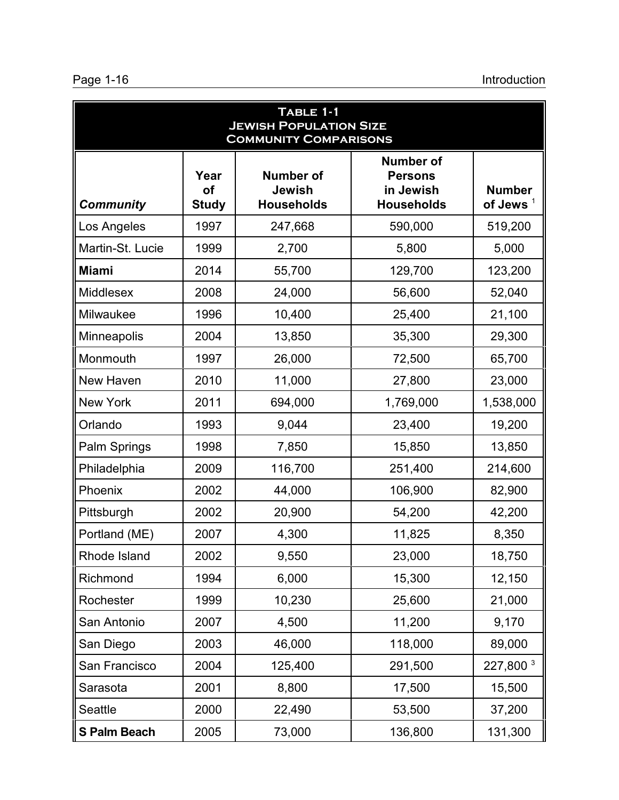| Page 1-16 |  |
|-----------|--|
|-----------|--|

| TABLE 1-1<br><b>JEWISH POPULATION SIZE</b><br><b>COMMUNITY COMPARISONS</b> |                            |                                                        |                                                                      |                              |  |  |
|----------------------------------------------------------------------------|----------------------------|--------------------------------------------------------|----------------------------------------------------------------------|------------------------------|--|--|
| <b>Community</b>                                                           | Year<br>of<br><b>Study</b> | <b>Number of</b><br><b>Jewish</b><br><b>Households</b> | <b>Number of</b><br><b>Persons</b><br>in Jewish<br><b>Households</b> | <b>Number</b><br>of Jews $1$ |  |  |
| Los Angeles                                                                | 1997                       | 247,668                                                | 590,000                                                              | 519,200                      |  |  |
| Martin-St. Lucie                                                           | 1999                       | 2,700                                                  | 5,800                                                                | 5,000                        |  |  |
| <b>Miami</b>                                                               | 2014                       | 55,700                                                 | 129,700                                                              | 123,200                      |  |  |
| Middlesex                                                                  | 2008                       | 24,000                                                 | 56,600                                                               | 52,040                       |  |  |
| Milwaukee                                                                  | 1996                       | 10,400                                                 | 25,400                                                               | 21,100                       |  |  |
| Minneapolis                                                                | 2004                       | 13,850                                                 | 35,300                                                               | 29,300                       |  |  |
| Monmouth                                                                   | 1997                       | 26,000                                                 | 72,500                                                               | 65,700                       |  |  |
| New Haven                                                                  | 2010                       | 11,000                                                 | 27,800                                                               | 23,000                       |  |  |
| New York                                                                   | 2011                       | 694,000                                                | 1,769,000                                                            | 1,538,000                    |  |  |
| Orlando                                                                    | 1993                       | 9,044                                                  | 23,400                                                               | 19,200                       |  |  |
| Palm Springs                                                               | 1998                       | 7,850                                                  | 15,850                                                               | 13,850                       |  |  |
| Philadelphia                                                               | 2009                       | 116,700                                                | 251,400                                                              | 214,600                      |  |  |
| Phoenix                                                                    | 2002                       | 44,000                                                 | 106,900                                                              | 82,900                       |  |  |
| Pittsburgh                                                                 | 2002                       | 20,900                                                 | 54,200                                                               | 42,200                       |  |  |
| Portland (ME)                                                              | 2007                       | 4,300                                                  | 11,825                                                               | 8,350                        |  |  |
| Rhode Island                                                               | 2002                       | 9,550                                                  | 23,000                                                               | 18,750                       |  |  |
| Richmond                                                                   | 1994                       | 6,000                                                  | 15,300                                                               | 12,150                       |  |  |
| Rochester                                                                  | 1999                       | 10,230                                                 | 25,600                                                               | 21,000                       |  |  |
| San Antonio                                                                | 2007                       | 4,500                                                  | 11,200                                                               | 9,170                        |  |  |
| San Diego                                                                  | 2003                       | 46,000                                                 | 118,000                                                              | 89,000                       |  |  |
| San Francisco                                                              | 2004                       | 125,400                                                | 291,500                                                              | 227,800 <sup>3</sup>         |  |  |
| Sarasota                                                                   | 2001                       | 8,800                                                  | 17,500                                                               | 15,500                       |  |  |
| Seattle                                                                    | 2000                       | 22,490                                                 | 53,500                                                               | 37,200                       |  |  |
| <b>S Palm Beach</b>                                                        | 2005                       | 73,000                                                 | 136,800                                                              | 131,300                      |  |  |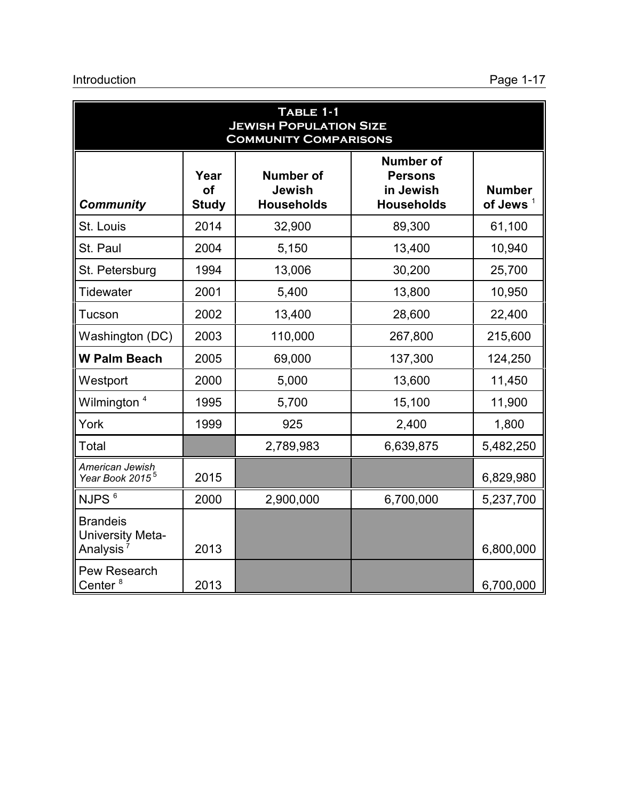| TABLE 1-1<br><b>JEWISH POPULATION SIZE</b><br><b>COMMUNITY COMPARISONS</b> |                                   |                                                        |                                                                      |                              |  |  |
|----------------------------------------------------------------------------|-----------------------------------|--------------------------------------------------------|----------------------------------------------------------------------|------------------------------|--|--|
| <b>Community</b>                                                           | Year<br><b>of</b><br><b>Study</b> | <b>Number of</b><br><b>Jewish</b><br><b>Households</b> | <b>Number of</b><br><b>Persons</b><br>in Jewish<br><b>Households</b> | <b>Number</b><br>of Jews $1$ |  |  |
| St. Louis                                                                  | 2014                              | 32,900                                                 | 89,300                                                               | 61,100                       |  |  |
| St. Paul                                                                   | 2004                              | 5,150                                                  | 13,400                                                               | 10,940                       |  |  |
| St. Petersburg                                                             | 1994                              | 13,006                                                 | 30,200                                                               | 25,700                       |  |  |
| Tidewater                                                                  | 2001                              | 5,400                                                  | 13,800                                                               | 10,950                       |  |  |
| Tucson                                                                     | 2002                              | 13,400                                                 | 28,600                                                               | 22,400                       |  |  |
| Washington (DC)                                                            | 2003                              | 110,000                                                | 267,800                                                              | 215,600                      |  |  |
| <b>W Palm Beach</b>                                                        | 2005                              | 69,000                                                 | 137,300                                                              | 124,250                      |  |  |
| Westport                                                                   | 2000                              | 5,000                                                  | 13,600                                                               | 11,450                       |  |  |
| Wilmington <sup>4</sup>                                                    | 1995                              | 5,700                                                  | 15,100                                                               | 11,900                       |  |  |
| York                                                                       | 1999                              | 925                                                    | 2,400                                                                | 1,800                        |  |  |
| Total                                                                      |                                   | 2,789,983                                              | 6,639,875                                                            | 5,482,250                    |  |  |
| American Jewish<br>Year Book 2015 <sup>5</sup>                             | 2015                              |                                                        |                                                                      | 6,829,980                    |  |  |
| NJPS <sup>6</sup>                                                          | 2000                              | 2,900,000                                              | 6,700,000                                                            | 5,237,700                    |  |  |
| <b>Brandeis</b><br>University Meta-<br>Analysis <sup>7</sup>               | 2013                              |                                                        |                                                                      | 6,800,000                    |  |  |
| Pew Research<br>Center <sup>8</sup>                                        | 2013                              |                                                        |                                                                      | 6,700,000                    |  |  |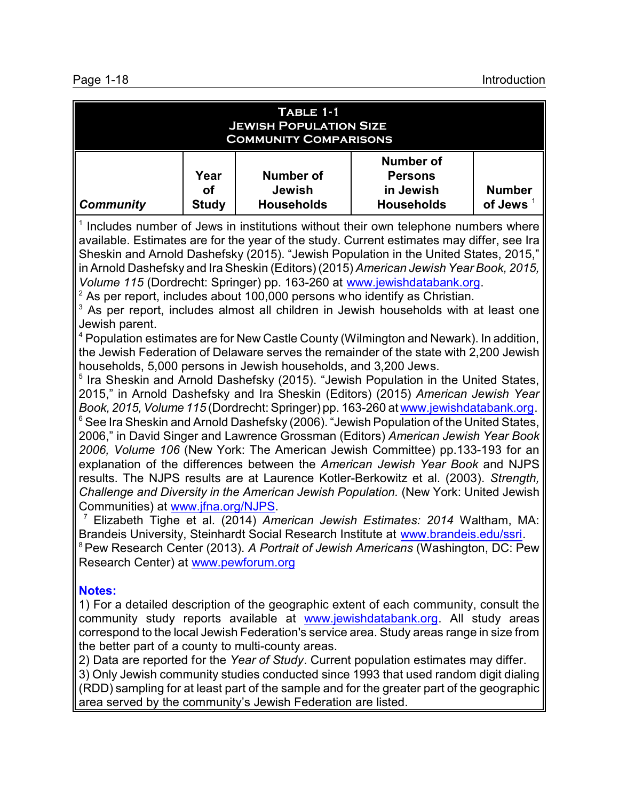| TABLE 1-1<br><b>JEWISH POPULATION SIZE</b><br><b>COMMUNITY COMPARISONS</b>                                                                                                                                                                                                                                                                                                                                                                                                                                                                                                                                                                                                                                                                                                                                                                                                                                                                                                                                                                                                                                                                                                                                                                                                                                                                                                                                                                                                                                                                                                                                                                                                                                                                                                                                                                                                                                                                                                                                                                                                                                     |                            |                                                        |                                                                      |                              |  |  |  |
|----------------------------------------------------------------------------------------------------------------------------------------------------------------------------------------------------------------------------------------------------------------------------------------------------------------------------------------------------------------------------------------------------------------------------------------------------------------------------------------------------------------------------------------------------------------------------------------------------------------------------------------------------------------------------------------------------------------------------------------------------------------------------------------------------------------------------------------------------------------------------------------------------------------------------------------------------------------------------------------------------------------------------------------------------------------------------------------------------------------------------------------------------------------------------------------------------------------------------------------------------------------------------------------------------------------------------------------------------------------------------------------------------------------------------------------------------------------------------------------------------------------------------------------------------------------------------------------------------------------------------------------------------------------------------------------------------------------------------------------------------------------------------------------------------------------------------------------------------------------------------------------------------------------------------------------------------------------------------------------------------------------------------------------------------------------------------------------------------------------|----------------------------|--------------------------------------------------------|----------------------------------------------------------------------|------------------------------|--|--|--|
| <b>Community</b>                                                                                                                                                                                                                                                                                                                                                                                                                                                                                                                                                                                                                                                                                                                                                                                                                                                                                                                                                                                                                                                                                                                                                                                                                                                                                                                                                                                                                                                                                                                                                                                                                                                                                                                                                                                                                                                                                                                                                                                                                                                                                               | Year<br>of<br><b>Study</b> | <b>Number of</b><br><b>Jewish</b><br><b>Households</b> | <b>Number of</b><br><b>Persons</b><br>in Jewish<br><b>Households</b> | <b>Number</b><br>of Jews $1$ |  |  |  |
| <sup>1</sup> Includes number of Jews in institutions without their own telephone numbers where<br>available. Estimates are for the year of the study. Current estimates may differ, see Ira<br>Sheskin and Arnold Dashefsky (2015). "Jewish Population in the United States, 2015,"<br>in Arnold Dashefsky and Ira Sheskin (Editors) (2015) American Jewish Year Book, 2015,<br>Volume 115 (Dordrecht: Springer) pp. 163-260 at www.jewishdatabank.org.<br>$2$ As per report, includes about 100,000 persons who identify as Christian.<br>As per report, includes almost all children in Jewish households with at least one<br>Jewish parent.<br><sup>4</sup> Population estimates are for New Castle County (Wilmington and Newark). In addition,<br>the Jewish Federation of Delaware serves the remainder of the state with 2,200 Jewish<br>households, 5,000 persons in Jewish households, and 3,200 Jews.<br><sup>5</sup> Ira Sheskin and Arnold Dashefsky (2015). "Jewish Population in the United States,<br>2015," in Arnold Dashefsky and Ira Sheskin (Editors) (2015) American Jewish Year<br>Book, 2015, Volume 115 (Dordrecht: Springer) pp. 163-260 at www.jewishdatabank.org.<br>$6$ See Ira Sheskin and Arnold Dashefsky (2006). "Jewish Population of the United States,<br>2006," in David Singer and Lawrence Grossman (Editors) American Jewish Year Book<br>2006, Volume 106 (New York: The American Jewish Committee) pp.133-193 for an<br>explanation of the differences between the American Jewish Year Book and NJPS<br>results. The NJPS results are at Laurence Kotler-Berkowitz et al. (2003). Strength,<br>Challenge and Diversity in the American Jewish Population. (New York: United Jewish<br>Communities) at www.jfna.org/NJPS.<br><sup>7</sup> Elizabeth Tighe et al. (2014) American Jewish Estimates: 2014 Waltham, MA:<br>Brandeis University, Steinhardt Social Research Institute at www.brandeis.edu/ssri.<br><sup>8</sup> Pew Research Center (2013). A Portrait of Jewish Americans (Washington, DC: Pew<br>Research Center) at www.pewforum.org<br><b>Notes:</b> |                            |                                                        |                                                                      |                              |  |  |  |

community study reports available at [www.jewishdatabank.org](http://www.jewishdatank.org.). All study areas correspond to the local Jewish Federation's service area. Study areas range in size from the better part of a county to multi-county areas.

2) Data are reported for the *Year of Study*. Current population estimates may differ. 3) Only Jewish community studies conducted since 1993 that used random digit dialing

(RDD) sampling for at least part of the sample and for the greater part of the geographic area served by the community's Jewish Federation are listed.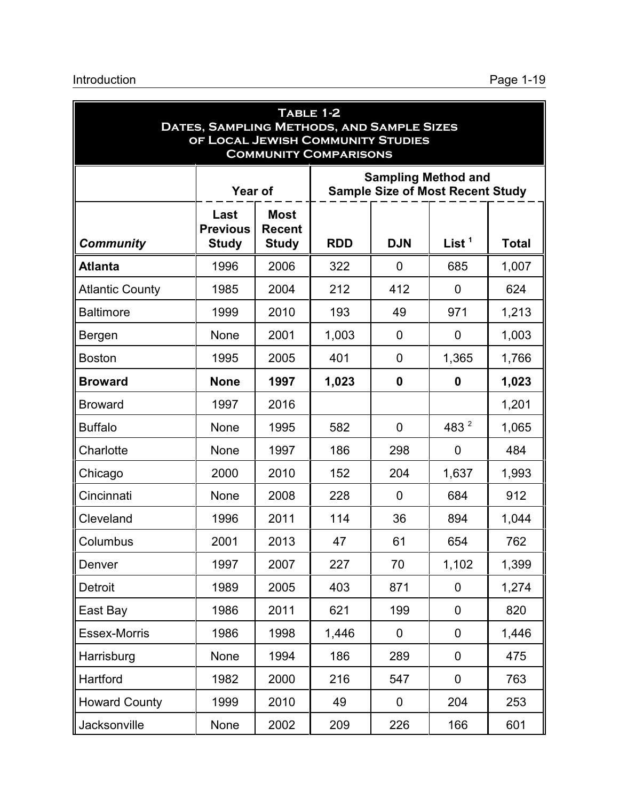| <b>TABLE 1-2</b><br>DATES, SAMPLING METHODS, AND SAMPLE SIZES<br>OF LOCAL JEWISH COMMUNITY STUDIES<br><b>COMMUNITY COMPARISONS</b> |                                                                                                                                                 |      |       |              |                  |       |  |
|------------------------------------------------------------------------------------------------------------------------------------|-------------------------------------------------------------------------------------------------------------------------------------------------|------|-------|--------------|------------------|-------|--|
|                                                                                                                                    | <b>Sampling Method and</b><br><b>Sample Size of Most Recent Study</b><br><b>Year of</b>                                                         |      |       |              |                  |       |  |
| <b>Community</b>                                                                                                                   | <b>Most</b><br>Last<br><b>Previous</b><br><b>Recent</b><br>List $1$<br><b>Study</b><br><b>RDD</b><br><b>DJN</b><br><b>Study</b><br><b>Total</b> |      |       |              |                  |       |  |
| <b>Atlanta</b>                                                                                                                     | 1996                                                                                                                                            | 2006 | 322   | $\mathbf{0}$ | 685              | 1,007 |  |
| <b>Atlantic County</b>                                                                                                             | 1985                                                                                                                                            | 2004 | 212   | 412          | $\overline{0}$   | 624   |  |
| <b>Baltimore</b>                                                                                                                   | 1999                                                                                                                                            | 2010 | 193   | 49           | 971              | 1,213 |  |
| Bergen                                                                                                                             | <b>None</b>                                                                                                                                     | 2001 | 1,003 | $\mathbf{0}$ | 0                | 1,003 |  |
| <b>Boston</b>                                                                                                                      | 1995                                                                                                                                            | 2005 | 401   | $\mathbf{0}$ | 1,365            | 1,766 |  |
| <b>Broward</b>                                                                                                                     | <b>None</b>                                                                                                                                     | 1997 | 1,023 | $\mathbf{0}$ | $\mathbf{0}$     | 1,023 |  |
| <b>Broward</b>                                                                                                                     | 1997                                                                                                                                            | 2016 |       |              |                  | 1,201 |  |
| <b>Buffalo</b>                                                                                                                     | None                                                                                                                                            | 1995 | 582   | 0            | 483 <sup>2</sup> | 1,065 |  |
| Charlotte                                                                                                                          | <b>None</b>                                                                                                                                     | 1997 | 186   | 298          | 0                | 484   |  |
| Chicago                                                                                                                            | 2000                                                                                                                                            | 2010 | 152   | 204          | 1,637            | 1,993 |  |
| Cincinnati                                                                                                                         | <b>None</b>                                                                                                                                     | 2008 | 228   | $\mathbf{0}$ | 684              | 912   |  |
| Cleveland                                                                                                                          | 1996                                                                                                                                            | 2011 | 114   | 36           | 894              | 1,044 |  |
| Columbus                                                                                                                           | 2001                                                                                                                                            | 2013 | 47    | 61           | 654              | 762   |  |
| Denver                                                                                                                             | 1997                                                                                                                                            | 2007 | 227   | 70           | 1,102            | 1,399 |  |
| Detroit                                                                                                                            | 1989                                                                                                                                            | 2005 | 403   | 871          | $\mathbf 0$      | 1,274 |  |
| East Bay                                                                                                                           | 1986                                                                                                                                            | 2011 | 621   | 199          | 0                | 820   |  |
| <b>Essex-Morris</b>                                                                                                                | 1986                                                                                                                                            | 1998 | 1,446 | 0            | $\mathbf 0$      | 1,446 |  |
| Harrisburg                                                                                                                         | <b>None</b>                                                                                                                                     | 1994 | 186   | 289          | 0                | 475   |  |
| Hartford                                                                                                                           | 1982                                                                                                                                            | 2000 | 216   | 547          | $\mathbf 0$      | 763   |  |
| <b>Howard County</b>                                                                                                               | 1999                                                                                                                                            | 2010 | 49    | 0            | 204              | 253   |  |
| Jacksonville                                                                                                                       | None                                                                                                                                            | 2002 | 209   | 226          | 166              | 601   |  |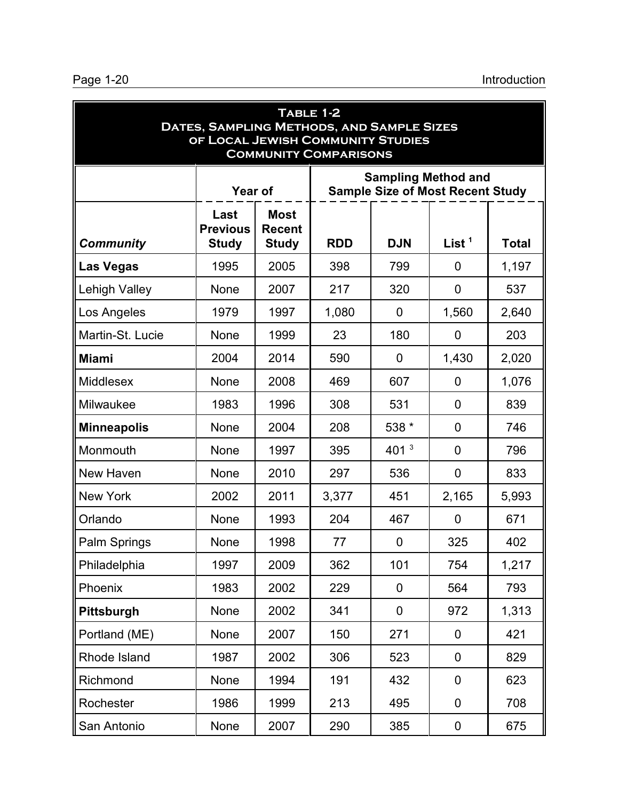| TABLE 1-2<br>DATES, SAMPLING METHODS, AND SAMPLE SIZES<br>OF LOCAL JEWISH COMMUNITY STUDIES<br><b>COMMUNITY COMPARISONS</b> |                                         |                                                                                      |       |              |                |       |  |
|-----------------------------------------------------------------------------------------------------------------------------|-----------------------------------------|--------------------------------------------------------------------------------------|-------|--------------|----------------|-------|--|
|                                                                                                                             |                                         | <b>Sampling Method and</b><br><b>Sample Size of Most Recent Study</b><br>Year of     |       |              |                |       |  |
| <b>Community</b>                                                                                                            | Last<br><b>Previous</b><br><b>Study</b> | <b>Most</b><br><b>Recent</b><br>List $1$<br><b>Study</b><br><b>RDD</b><br><b>DJN</b> |       |              |                |       |  |
| <b>Las Vegas</b>                                                                                                            | 1995                                    | 2005                                                                                 | 398   | 799          | $\overline{0}$ | 1,197 |  |
| Lehigh Valley                                                                                                               | <b>None</b>                             | 2007                                                                                 | 217   | 320          | $\mathbf 0$    | 537   |  |
| Los Angeles                                                                                                                 | 1979                                    | 1997                                                                                 | 1,080 | 0            | 1,560          | 2,640 |  |
| Martin-St. Lucie                                                                                                            | <b>None</b>                             | 1999                                                                                 | 23    | 180          | $\overline{0}$ | 203   |  |
| <b>Miami</b>                                                                                                                | 2004                                    | 2014                                                                                 | 590   | $\mathbf{0}$ | 1,430          | 2,020 |  |
| Middlesex                                                                                                                   | None                                    | 2008                                                                                 | 469   | 607          | $\overline{0}$ | 1,076 |  |
| Milwaukee                                                                                                                   | 1983                                    | 1996                                                                                 | 308   | 531          | $\overline{0}$ | 839   |  |
| <b>Minneapolis</b>                                                                                                          | None                                    | 2004                                                                                 | 208   | 538 *        | $\overline{0}$ | 746   |  |
| Monmouth                                                                                                                    | None                                    | 1997                                                                                 | 395   | 401 $3$      | $\overline{0}$ | 796   |  |
| New Haven                                                                                                                   | None                                    | 2010                                                                                 | 297   | 536          | $\mathbf 0$    | 833   |  |
| <b>New York</b>                                                                                                             | 2002                                    | 2011                                                                                 | 3,377 | 451          | 2,165          | 5,993 |  |
| Orlando                                                                                                                     | <b>None</b>                             | 1993                                                                                 | 204   | 467          | $\overline{0}$ | 671   |  |
| Palm Springs                                                                                                                | None                                    | 1998                                                                                 | 77    | 0            | 325            | 402   |  |
| Philadelphia                                                                                                                | 1997                                    | 2009                                                                                 | 362   | 101          | 754            | 1,217 |  |
| Phoenix                                                                                                                     | 1983                                    | 2002                                                                                 | 229   | $\mathbf 0$  | 564            | 793   |  |
| <b>Pittsburgh</b>                                                                                                           | None                                    | 2002                                                                                 | 341   | $\mathbf 0$  | 972            | 1,313 |  |
| Portland (ME)                                                                                                               | None                                    | 2007                                                                                 | 150   | 271          | $\mathbf 0$    | 421   |  |
| Rhode Island                                                                                                                | 1987                                    | 2002                                                                                 | 306   | 523          | $\mathbf 0$    | 829   |  |
| Richmond                                                                                                                    | None                                    | 1994                                                                                 | 191   | 432          | $\mathbf 0$    | 623   |  |
| Rochester                                                                                                                   | 1986                                    | 1999                                                                                 | 213   | 495          | $\overline{0}$ | 708   |  |
| San Antonio                                                                                                                 | None                                    | 2007                                                                                 | 290   | 385          | $\pmb{0}$      | 675   |  |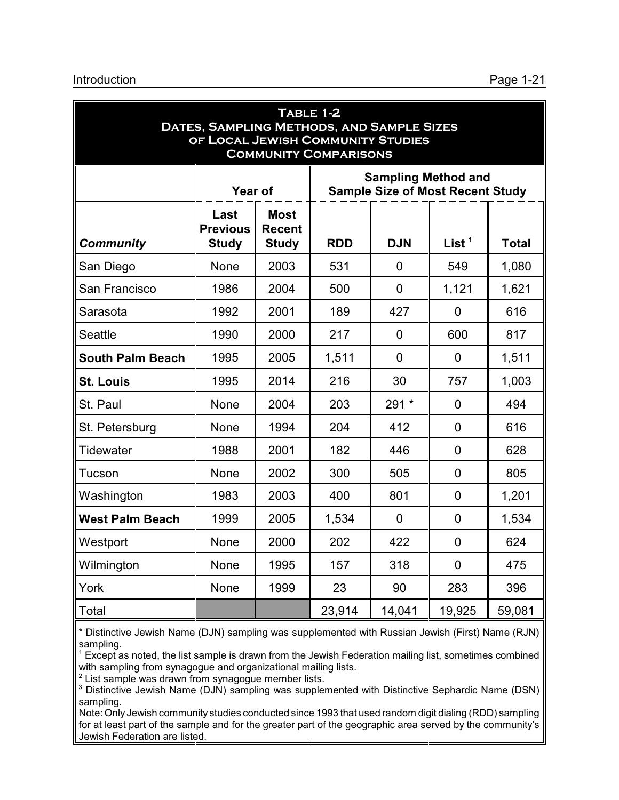| TABLE 1-2<br>DATES, SAMPLING METHODS, AND SAMPLE SIZES<br>OF LOCAL JEWISH COMMUNITY STUDIES<br><b>COMMUNITY COMPARISONS</b> |                                                                                                                                                 |                                                                                         |        |                |                |        |  |
|-----------------------------------------------------------------------------------------------------------------------------|-------------------------------------------------------------------------------------------------------------------------------------------------|-----------------------------------------------------------------------------------------|--------|----------------|----------------|--------|--|
|                                                                                                                             |                                                                                                                                                 | <b>Sampling Method and</b><br><b>Sample Size of Most Recent Study</b><br><b>Year of</b> |        |                |                |        |  |
| <b>Community</b>                                                                                                            | <b>Most</b><br>Last<br><b>Previous</b><br><b>Recent</b><br>List $1$<br><b>RDD</b><br><b>DJN</b><br><b>Study</b><br><b>Study</b><br><b>Total</b> |                                                                                         |        |                |                |        |  |
| San Diego                                                                                                                   | None                                                                                                                                            | 2003                                                                                    | 531    | $\overline{0}$ | 549            | 1,080  |  |
| San Francisco                                                                                                               | 1986                                                                                                                                            | 2004                                                                                    | 500    | $\overline{0}$ | 1,121          | 1,621  |  |
| Sarasota                                                                                                                    | 1992                                                                                                                                            | 2001                                                                                    | 189    | 427            | $\overline{0}$ | 616    |  |
| <b>Seattle</b>                                                                                                              | 1990                                                                                                                                            | 2000                                                                                    | 217    | $\overline{0}$ | 600            | 817    |  |
| <b>South Palm Beach</b>                                                                                                     | 1995                                                                                                                                            | 2005                                                                                    | 1,511  | $\overline{0}$ | $\overline{0}$ | 1,511  |  |
| <b>St. Louis</b>                                                                                                            | 1995                                                                                                                                            | 2014                                                                                    | 216    | 30             | 757            | 1,003  |  |
| St. Paul                                                                                                                    | None                                                                                                                                            | 2004                                                                                    | 203    | 291 *          | $\overline{0}$ | 494    |  |
| St. Petersburg                                                                                                              | None                                                                                                                                            | 1994                                                                                    | 204    | 412            | $\mathbf 0$    | 616    |  |
| Tidewater                                                                                                                   | 1988                                                                                                                                            | 2001                                                                                    | 182    | 446            | $\overline{0}$ | 628    |  |
| Tucson                                                                                                                      | <b>None</b>                                                                                                                                     | 2002                                                                                    | 300    | 505            | $\mathbf 0$    | 805    |  |
| Washington                                                                                                                  | 1983                                                                                                                                            | 2003                                                                                    | 400    | 801            | $\overline{0}$ | 1,201  |  |
| <b>West Palm Beach</b>                                                                                                      | 1999                                                                                                                                            | 2005                                                                                    | 1,534  | $\Omega$       | $\overline{0}$ | 1,534  |  |
| Westport                                                                                                                    | <b>None</b>                                                                                                                                     | 2000                                                                                    | 202    | 422            | $\overline{0}$ | 624    |  |
| Wilmington                                                                                                                  | None                                                                                                                                            | 1995                                                                                    | 157    | 318            | $\overline{0}$ | 475    |  |
| York                                                                                                                        | None                                                                                                                                            | 1999                                                                                    | 23     | 90             | 283            | 396    |  |
| Total                                                                                                                       |                                                                                                                                                 |                                                                                         | 23,914 | 14,041         | 19,925         | 59,081 |  |

\* Distinctive Jewish Name (DJN) sampling was supplemented with Russian Jewish (First) Name (RJN) sampling.

<sup>1</sup> Except as noted, the list sample is drawn from the Jewish Federation mailing list, sometimes combined with sampling from synagogue and organizational mailing lists.

 $2$  List sample was drawn from synagogue member lists.

<sup>3</sup> Distinctive Jewish Name (DJN) sampling was supplemented with Distinctive Sephardic Name (DSN) sampling.

Note: Only Jewish community studies conducted since 1993 that used random digit dialing (RDD) sampling for at least part of the sample and for the greater part of the geographic area served by the community's Jewish Federation are listed.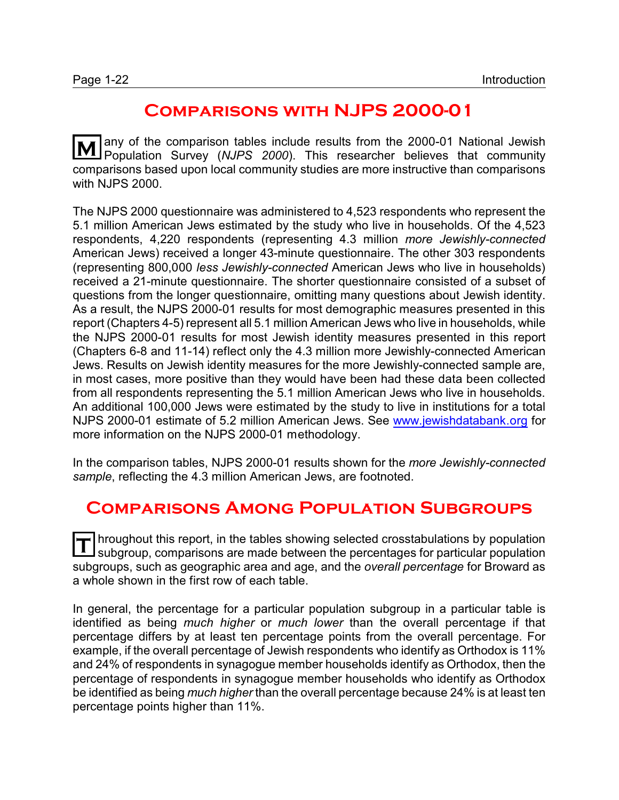# **Comparisons with NJPS 2000-01**

**M** any of the comparison tables include results from the 2000-01 National Jewish<br>Population Survey (NJPS 2000). This researcher believes that community comparisons based upon local community studies are more instructive than comparisons with NJPS 2000.

The NJPS 2000 questionnaire was administered to 4,523 respondents who represent the 5.1 million American Jews estimated by the study who live in households. Of the 4,523 respondents, 4,220 respondents (representing 4.3 million *more Jewishly-connected* American Jews) received a longer 43-minute questionnaire. The other 303 respondents (representing 800,000 *less Jewishly-connected* American Jews who live in households) received a 21-minute questionnaire. The shorter questionnaire consisted of a subset of questions from the longer questionnaire, omitting many questions about Jewish identity. As a result, the NJPS 2000-01 results for most demographic measures presented in this report (Chapters 4-5) represent all 5.1 million American Jews who live in households, while the NJPS 2000-01 results for most Jewish identity measures presented in this report (Chapters 6-8 and 11-14) reflect only the 4.3 million more Jewishly-connected American Jews. Results on Jewish identity measures for the more Jewishly-connected sample are, in most cases, more positive than they would have been had these data been collected from all respondents representing the 5.1 million American Jews who live in households. An additional 100,000 Jews were estimated by the study to live in institutions for a total NJPS 2000-01 estimate of 5.2 million American Jews. See [www.jewishdatabank.org](http://www.jewishdatabank.com) for more information on the NJPS 2000-01 methodology.

In the comparison tables, NJPS 2000-01 results shown for the *more Jewishly-connected sample*, reflecting the 4.3 million American Jews, are footnoted.

# **Comparisons Among Population Subgroups**

T hroughout this report, in the tables showing selected crosstabulations by population<br>
subgroup, comparisons are made between the perceptages for particular population subgroup, comparisons are made between the percentages for particular population subgroups, such as geographic area and age, and the *overall percentage* for Broward as a whole shown in the first row of each table.

In general, the percentage for a particular population subgroup in a particular table is identified as being *much higher* or *much lower* than the overall percentage if that percentage differs by at least ten percentage points from the overall percentage. For example, if the overall percentage of Jewish respondents who identify as Orthodox is 11% and 24% of respondents in synagogue member households identify as Orthodox, then the percentage of respondents in synagogue member households who identify as Orthodox be identified as being *much higher* than the overall percentage because 24% is at least ten percentage points higher than 11%.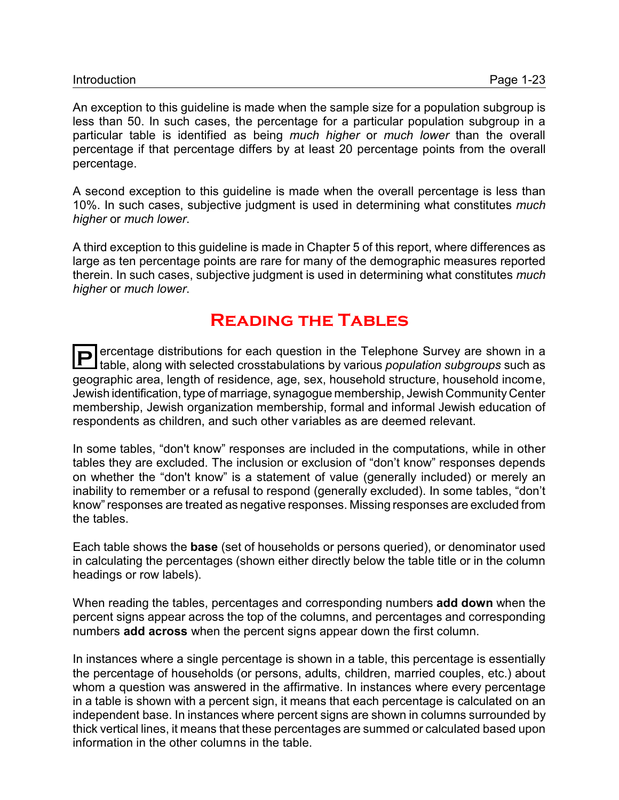An exception to this guideline is made when the sample size for a population subgroup is less than 50. In such cases, the percentage for a particular population subgroup in a particular table is identified as being *much higher* or *much lower* than the overall percentage if that percentage differs by at least 20 percentage points from the overall percentage.

A second exception to this guideline is made when the overall percentage is less than 10%. In such cases, subjective judgment is used in determining what constitutes *much higher* or *much lower*.

A third exception to this guideline is made in Chapter 5 of this report, where differences as large as ten percentage points are rare for many of the demographic measures reported therein. In such cases, subjective judgment is used in determining what constitutes *much higher* or *much lower*.

# **Reading the Tables**

**P** ercentage distributions for each question in the Telephone Survey are shown in a table along with selected crosstabulations by various population subgroups such as table, along with selected crosstabulations by various *population subgroups* such as geographic area, length of residence, age, sex, household structure, household income, Jewish identification, type of marriage, synagogue membership, Jewish Community Center membership, Jewish organization membership, formal and informal Jewish education of respondents as children, and such other variables as are deemed relevant.

In some tables, "don't know" responses are included in the computations, while in other tables they are excluded. The inclusion or exclusion of "don't know" responses depends on whether the "don't know" is a statement of value (generally included) or merely an inability to remember or a refusal to respond (generally excluded). In some tables, "don't know" responses are treated as negative responses. Missing responses are excluded from the tables.

Each table shows the **base** (set of households or persons queried), or denominator used in calculating the percentages (shown either directly below the table title or in the column headings or row labels).

When reading the tables, percentages and corresponding numbers **add down** when the percent signs appear across the top of the columns, and percentages and corresponding numbers **add across** when the percent signs appear down the first column.

In instances where a single percentage is shown in a table, this percentage is essentially the percentage of households (or persons, adults, children, married couples, etc.) about whom a question was answered in the affirmative. In instances where every percentage in a table is shown with a percent sign, it means that each percentage is calculated on an independent base. In instances where percent signs are shown in columns surrounded by thick vertical lines, it means that these percentages are summed or calculated based upon information in the other columns in the table.